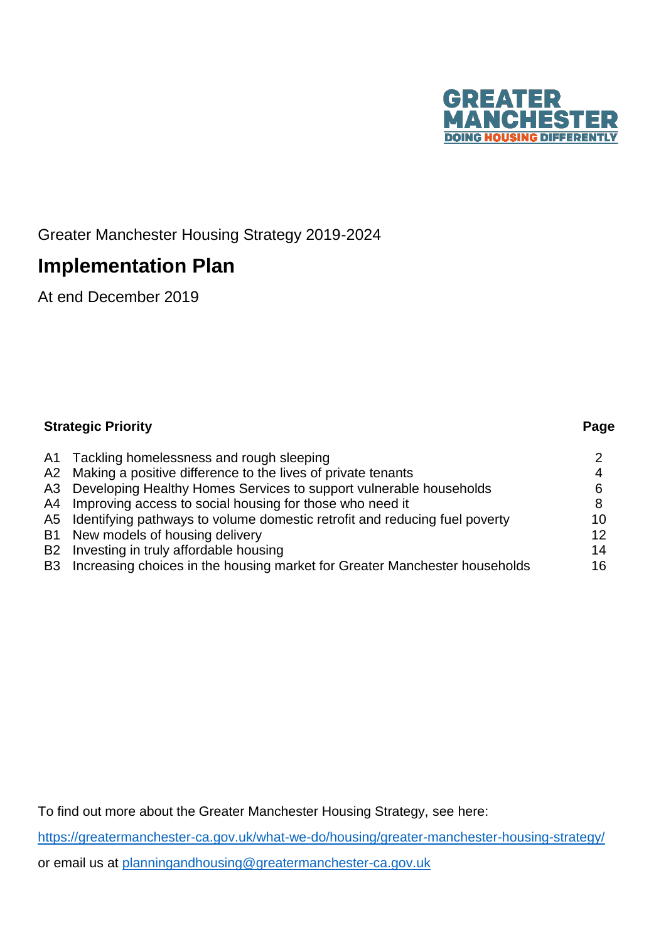

# Greater Manchester Housing Strategy 2019-2024

# **Implementation Plan**

At end December 2019

| <b>Strategic Priority</b>                                                     | Page |
|-------------------------------------------------------------------------------|------|
| A1 Tackling homelessness and rough sleeping                                   |      |
| A2 Making a positive difference to the lives of private tenants               |      |
| A3 Developing Healthy Homes Services to support vulnerable households         | 6    |
| A4 Improving access to social housing for those who need it                   | 8    |
| A5 Identifying pathways to volume domestic retrofit and reducing fuel poverty | 10   |
| B1 New models of housing delivery                                             | 12   |
| B2 Investing in truly affordable housing                                      | 14   |
| B3 Increasing choices in the housing market for Greater Manchester households | 16   |

To find out more about the Greater Manchester Housing Strategy, see here:

<https://greatermanchester-ca.gov.uk/what-we-do/housing/greater-manchester-housing-strategy/> or email us at [planningandhousing@greatermanchester-ca.gov.uk](mailto:planningandhousing@greatermanchester-ca.gov.uk)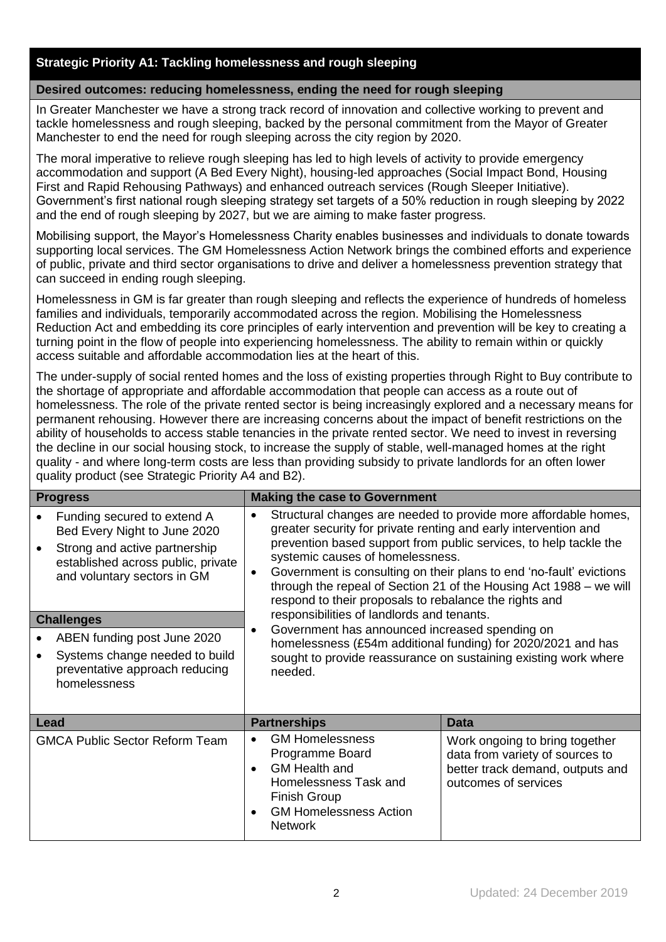## **Strategic Priority A1: Tackling homelessness and rough sleeping**

#### **Desired outcomes: reducing homelessness, ending the need for rough sleeping**

In Greater Manchester we have a strong track record of innovation and collective working to prevent and tackle homelessness and rough sleeping, backed by the personal commitment from the Mayor of Greater Manchester to end the need for rough sleeping across the city region by 2020.

The moral imperative to relieve rough sleeping has led to high levels of activity to provide emergency accommodation and support (A Bed Every Night), housing-led approaches (Social Impact Bond, Housing First and Rapid Rehousing Pathways) and enhanced outreach services (Rough Sleeper Initiative). Government's first national rough sleeping strategy set targets of a 50% reduction in rough sleeping by 2022 and the end of rough sleeping by 2027, but we are aiming to make faster progress.

Mobilising support, the Mayor's Homelessness Charity enables businesses and individuals to donate towards supporting local services. The GM Homelessness Action Network brings the combined efforts and experience of public, private and third sector organisations to drive and deliver a homelessness prevention strategy that can succeed in ending rough sleeping.

Homelessness in GM is far greater than rough sleeping and reflects the experience of hundreds of homeless families and individuals, temporarily accommodated across the region. Mobilising the Homelessness Reduction Act and embedding its core principles of early intervention and prevention will be key to creating a turning point in the flow of people into experiencing homelessness. The ability to remain within or quickly access suitable and affordable accommodation lies at the heart of this.

The under-supply of social rented homes and the loss of existing properties through Right to Buy contribute to the shortage of appropriate and affordable accommodation that people can access as a route out of homelessness. The role of the private rented sector is being increasingly explored and a necessary means for permanent rehousing. However there are increasing concerns about the impact of benefit restrictions on the ability of households to access stable tenancies in the private rented sector. We need to invest in reversing the decline in our social housing stock, to increase the supply of stable, well-managed homes at the right quality - and where long-term costs are less than providing subsidy to private landlords for an often lower quality product (see Strategic Priority A4 and B2).

| <b>Progress</b>                                                                                                                                                                                                                                                                                           | <b>Making the case to Government</b>                                                                                                                                                                                                                                                                                                                                                                                                                                                                                                                                                                                                                                                                                                    |                                                                                                                               |
|-----------------------------------------------------------------------------------------------------------------------------------------------------------------------------------------------------------------------------------------------------------------------------------------------------------|-----------------------------------------------------------------------------------------------------------------------------------------------------------------------------------------------------------------------------------------------------------------------------------------------------------------------------------------------------------------------------------------------------------------------------------------------------------------------------------------------------------------------------------------------------------------------------------------------------------------------------------------------------------------------------------------------------------------------------------------|-------------------------------------------------------------------------------------------------------------------------------|
| Funding secured to extend A<br>Bed Every Night to June 2020<br>Strong and active partnership<br>established across public, private<br>and voluntary sectors in GM<br><b>Challenges</b><br>ABEN funding post June 2020<br>Systems change needed to build<br>preventative approach reducing<br>homelessness | Structural changes are needed to provide more affordable homes,<br>$\bullet$<br>greater security for private renting and early intervention and<br>prevention based support from public services, to help tackle the<br>systemic causes of homelessness.<br>Government is consulting on their plans to end 'no-fault' evictions<br>$\bullet$<br>through the repeal of Section 21 of the Housing Act 1988 – we will<br>respond to their proposals to rebalance the rights and<br>responsibilities of landlords and tenants.<br>Government has announced increased spending on<br>$\bullet$<br>homelessness (£54m additional funding) for 2020/2021 and has<br>sought to provide reassurance on sustaining existing work where<br>needed. |                                                                                                                               |
| <b>Lead</b>                                                                                                                                                                                                                                                                                               | <b>Partnerships</b>                                                                                                                                                                                                                                                                                                                                                                                                                                                                                                                                                                                                                                                                                                                     | <b>Data</b>                                                                                                                   |
| <b>GMCA Public Sector Reform Team</b>                                                                                                                                                                                                                                                                     | <b>GM Homelessness</b><br>$\bullet$<br>Programme Board<br><b>GM Health and</b><br>$\bullet$<br>Homelessness Task and<br><b>Finish Group</b><br><b>GM Homelessness Action</b><br>$\bullet$<br><b>Network</b>                                                                                                                                                                                                                                                                                                                                                                                                                                                                                                                             | Work ongoing to bring together<br>data from variety of sources to<br>better track demand, outputs and<br>outcomes of services |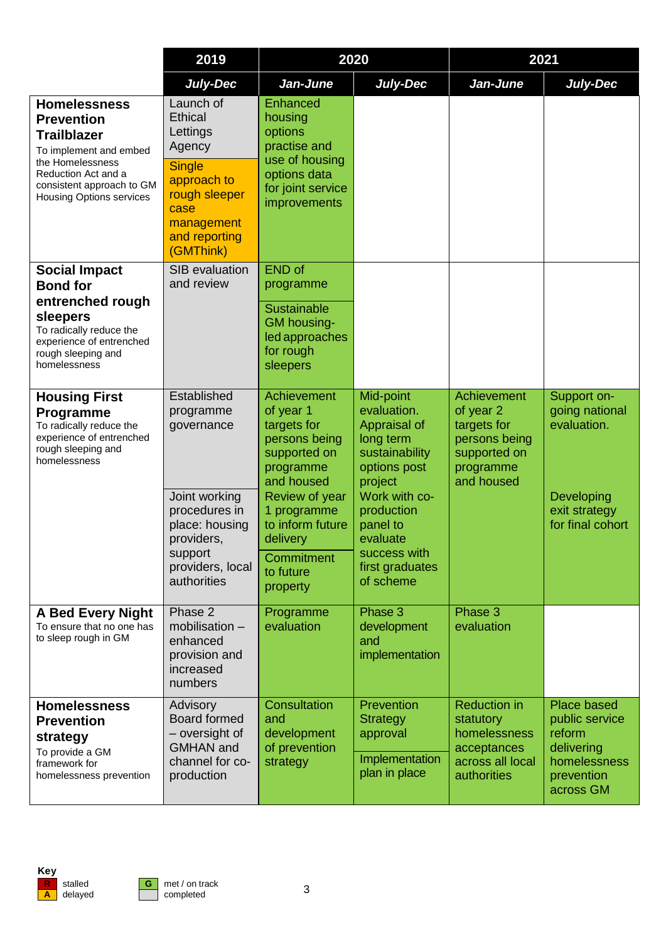|                                                                                                                                                                                                     | 2019                                                                                                                                            | 2020                                                                                                                                        |                                                                                                                                   | 2021                                                                                                |                                                                                                         |
|-----------------------------------------------------------------------------------------------------------------------------------------------------------------------------------------------------|-------------------------------------------------------------------------------------------------------------------------------------------------|---------------------------------------------------------------------------------------------------------------------------------------------|-----------------------------------------------------------------------------------------------------------------------------------|-----------------------------------------------------------------------------------------------------|---------------------------------------------------------------------------------------------------------|
|                                                                                                                                                                                                     | July-Dec                                                                                                                                        | Jan-June                                                                                                                                    | July-Dec                                                                                                                          | Jan-June                                                                                            | July-Dec                                                                                                |
| <b>Homelessness</b><br><b>Prevention</b><br><b>Trailblazer</b><br>To implement and embed<br>the Homelessness<br>Reduction Act and a<br>consistent approach to GM<br><b>Housing Options services</b> | Launch of<br>Ethical<br>Lettings<br>Agency<br><b>Single</b><br>approach to<br>rough sleeper<br>case<br>management<br>and reporting<br>(GMThink) | Enhanced<br>housing<br>options<br>practise and<br>use of housing<br>options data<br>for joint service<br>improvements                       |                                                                                                                                   |                                                                                                     |                                                                                                         |
| <b>Social Impact</b><br><b>Bond for</b><br>entrenched rough<br>sleepers<br>To radically reduce the<br>experience of entrenched<br>rough sleeping and<br>homelessness                                | SIB evaluation<br>and review                                                                                                                    | <b>END</b> of<br>programme<br><b>Sustainable</b><br><b>GM</b> housing-<br>led approaches<br>for rough<br>sleepers                           |                                                                                                                                   |                                                                                                     |                                                                                                         |
| <b>Housing First</b><br>Programme<br>To radically reduce the<br>experience of entrenched<br>rough sleeping and<br>homelessness                                                                      | Established<br>programme<br>governance<br>Joint working<br>procedures in                                                                        | Achievement<br>of year 1<br>targets for<br>persons being<br>supported on<br>programme<br>and housed<br><b>Review of year</b><br>1 programme | Mid-point<br>evaluation.<br>Appraisal of<br>long term<br>sustainability<br>options post<br>project<br>Work with co-<br>production | Achievement<br>of year 2<br>targets for<br>persons being<br>supported on<br>programme<br>and housed | Support on-<br>going national<br>evaluation.<br>Developing<br>exit strategy                             |
|                                                                                                                                                                                                     | place: housing<br>providers,<br>support<br>providers, local<br>authorities                                                                      | to inform future<br>delivery<br>Commitment<br>to future<br>property                                                                         | panel to<br>evaluate<br>success with<br>first graduates<br>of scheme                                                              |                                                                                                     | for final cohort                                                                                        |
| <b>A Bed Every Night</b><br>To ensure that no one has<br>to sleep rough in GM                                                                                                                       | Phase 2<br>mobilisation -<br>enhanced<br>provision and<br>increased<br>numbers                                                                  | Programme<br>evaluation                                                                                                                     | Phase 3<br>development<br>and<br>implementation                                                                                   | Phase 3<br>evaluation                                                                               |                                                                                                         |
| <b>Homelessness</b><br><b>Prevention</b><br>strategy<br>To provide a GM<br>framework for<br>homelessness prevention                                                                                 | Advisory<br><b>Board formed</b><br>- oversight of<br><b>GMHAN</b> and<br>channel for co-<br>production                                          | <b>Consultation</b><br>and<br>development<br>of prevention<br>strategy                                                                      | Prevention<br><b>Strategy</b><br>approval<br>Implementation<br>plan in place                                                      | <b>Reduction in</b><br>statutory<br>homelessness<br>acceptances<br>across all local<br>authorities  | <b>Place based</b><br>public service<br>reform<br>delivering<br>homelessness<br>prevention<br>across GM |

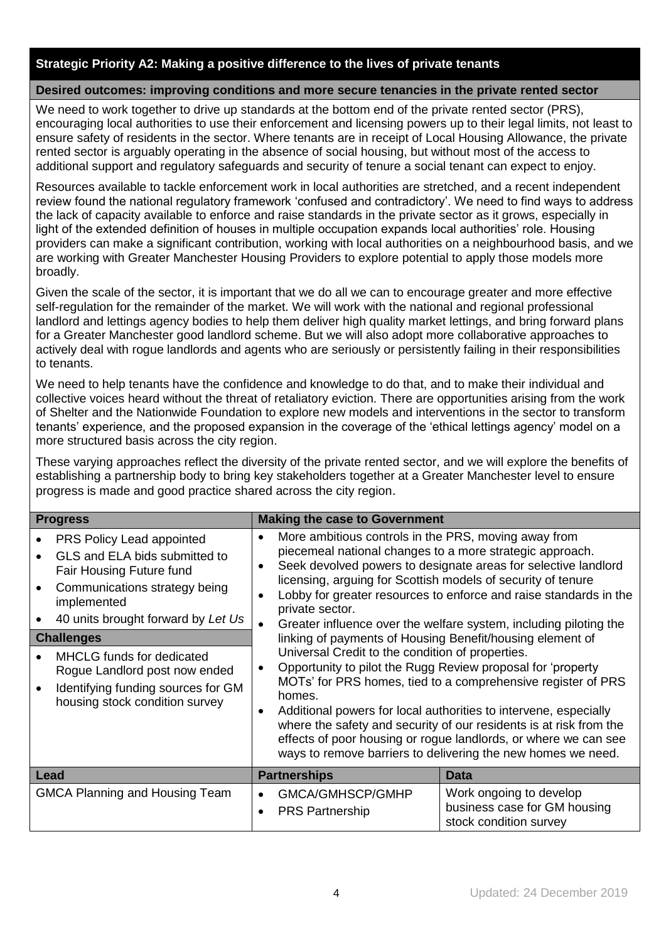#### **Strategic Priority A2: Making a positive difference to the lives of private tenants**

#### **Desired outcomes: improving conditions and more secure tenancies in the private rented sector**

We need to work together to drive up standards at the bottom end of the private rented sector (PRS), encouraging local authorities to use their enforcement and licensing powers up to their legal limits, not least to ensure safety of residents in the sector. Where tenants are in receipt of Local Housing Allowance, the private rented sector is arguably operating in the absence of social housing, but without most of the access to additional support and regulatory safeguards and security of tenure a social tenant can expect to enjoy.

Resources available to tackle enforcement work in local authorities are stretched, and a recent independent review found the national regulatory framework 'confused and contradictory'. We need to find ways to address the lack of capacity available to enforce and raise standards in the private sector as it grows, especially in light of the extended definition of houses in multiple occupation expands local authorities' role. Housing providers can make a significant contribution, working with local authorities on a neighbourhood basis, and we are working with Greater Manchester Housing Providers to explore potential to apply those models more broadly.

Given the scale of the sector, it is important that we do all we can to encourage greater and more effective self-regulation for the remainder of the market. We will work with the national and regional professional landlord and lettings agency bodies to help them deliver high quality market lettings, and bring forward plans for a Greater Manchester good landlord scheme. But we will also adopt more collaborative approaches to actively deal with rogue landlords and agents who are seriously or persistently failing in their responsibilities to tenants.

We need to help tenants have the confidence and knowledge to do that, and to make their individual and collective voices heard without the threat of retaliatory eviction. There are opportunities arising from the work of Shelter and the Nationwide Foundation to explore new models and interventions in the sector to transform tenants' experience, and the proposed expansion in the coverage of the 'ethical lettings agency' model on a more structured basis across the city region.

These varying approaches reflect the diversity of the private rented sector, and we will explore the benefits of establishing a partnership body to bring key stakeholders together at a Greater Manchester level to ensure progress is made and good practice shared across the city region.

| <b>Progress</b>                                                                                                                                                                                                                                                                                                                         | <b>Making the case to Government</b>                                                                                                                                                                                                                                                                                                                                                                         |                                                                                                                                                                                                                                                                                                                                                                                                                                                                                                                                                                                                                      |  |  |  |
|-----------------------------------------------------------------------------------------------------------------------------------------------------------------------------------------------------------------------------------------------------------------------------------------------------------------------------------------|--------------------------------------------------------------------------------------------------------------------------------------------------------------------------------------------------------------------------------------------------------------------------------------------------------------------------------------------------------------------------------------------------------------|----------------------------------------------------------------------------------------------------------------------------------------------------------------------------------------------------------------------------------------------------------------------------------------------------------------------------------------------------------------------------------------------------------------------------------------------------------------------------------------------------------------------------------------------------------------------------------------------------------------------|--|--|--|
| PRS Policy Lead appointed<br>GLS and ELA bids submitted to<br>Fair Housing Future fund<br>Communications strategy being<br>implemented<br>40 units brought forward by Let Us<br><b>Challenges</b><br>MHCLG funds for dedicated<br>Rogue Landlord post now ended<br>Identifying funding sources for GM<br>housing stock condition survey | More ambitious controls in the PRS, moving away from<br>$\bullet$<br>piecemeal national changes to a more strategic approach.<br>$\bullet$<br>licensing, arguing for Scottish models of security of tenure<br>$\bullet$<br>private sector.<br>$\bullet$<br>linking of payments of Housing Benefit/housing element of<br>Universal Credit to the condition of properties.<br>$\bullet$<br>homes.<br>$\bullet$ | Seek devolved powers to designate areas for selective landlord<br>Lobby for greater resources to enforce and raise standards in the<br>Greater influence over the welfare system, including piloting the<br>Opportunity to pilot the Rugg Review proposal for 'property<br>MOTs' for PRS homes, tied to a comprehensive register of PRS<br>Additional powers for local authorities to intervene, especially<br>where the safety and security of our residents is at risk from the<br>effects of poor housing or rogue landlords, or where we can see<br>ways to remove barriers to delivering the new homes we need. |  |  |  |
| Lead                                                                                                                                                                                                                                                                                                                                    | <b>Partnerships</b>                                                                                                                                                                                                                                                                                                                                                                                          | Data                                                                                                                                                                                                                                                                                                                                                                                                                                                                                                                                                                                                                 |  |  |  |
| <b>GMCA Planning and Housing Team</b>                                                                                                                                                                                                                                                                                                   | GMCA/GMHSCP/GMHP<br>$\bullet$<br><b>PRS Partnership</b>                                                                                                                                                                                                                                                                                                                                                      | Work ongoing to develop<br>business case for GM housing<br>stock condition survey                                                                                                                                                                                                                                                                                                                                                                                                                                                                                                                                    |  |  |  |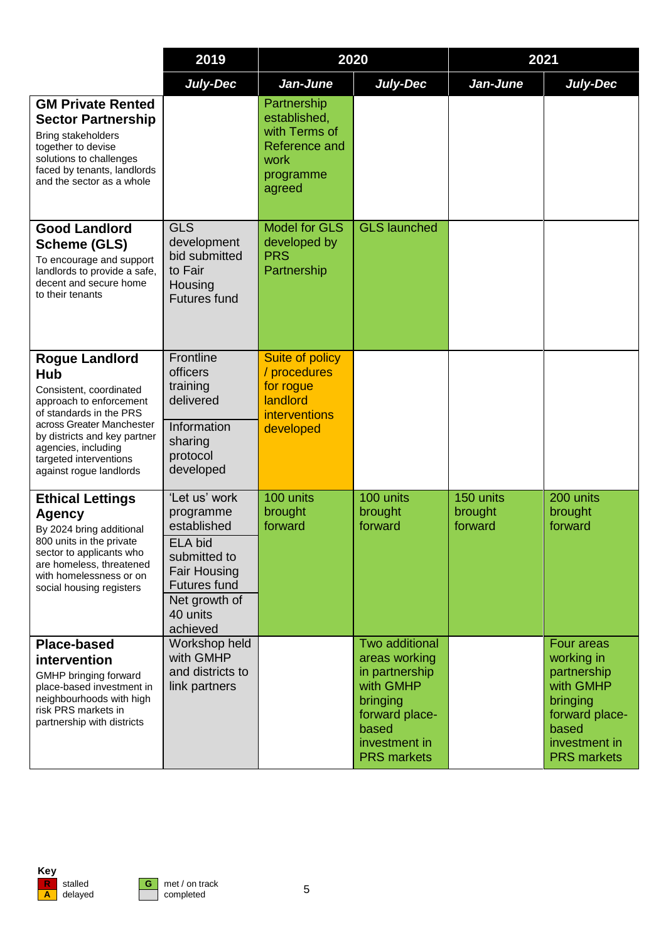|                                                                                                                                                                                                                                                               | 2019                                                                                                                                                               | 2020                                                                                         |                                                                                                                                              | 2021                            |                                                                                                                                    |
|---------------------------------------------------------------------------------------------------------------------------------------------------------------------------------------------------------------------------------------------------------------|--------------------------------------------------------------------------------------------------------------------------------------------------------------------|----------------------------------------------------------------------------------------------|----------------------------------------------------------------------------------------------------------------------------------------------|---------------------------------|------------------------------------------------------------------------------------------------------------------------------------|
|                                                                                                                                                                                                                                                               | <b>July-Dec</b>                                                                                                                                                    | Jan-June                                                                                     | July-Dec                                                                                                                                     | Jan-June                        | <b>July-Dec</b>                                                                                                                    |
| <b>GM Private Rented</b><br><b>Sector Partnership</b><br>Bring stakeholders<br>together to devise<br>solutions to challenges<br>faced by tenants, landlords<br>and the sector as a whole                                                                      |                                                                                                                                                                    | Partnership<br>established,<br>with Terms of<br>Reference and<br>work<br>programme<br>agreed |                                                                                                                                              |                                 |                                                                                                                                    |
| <b>Good Landlord</b><br><b>Scheme (GLS)</b><br>To encourage and support<br>landlords to provide a safe,<br>decent and secure home<br>to their tenants                                                                                                         | <b>GLS</b><br>development<br>bid submitted<br>to Fair<br>Housing<br><b>Futures fund</b>                                                                            | <b>Model for GLS</b><br>developed by<br><b>PRS</b><br>Partnership                            | <b>GLS launched</b>                                                                                                                          |                                 |                                                                                                                                    |
| <b>Rogue Landlord</b><br><b>Hub</b><br>Consistent, coordinated<br>approach to enforcement<br>of standards in the PRS<br>across Greater Manchester<br>by districts and key partner<br>agencies, including<br>targeted interventions<br>against rogue landlords | Frontline<br>officers<br>training<br>delivered<br>Information<br>sharing<br>protocol<br>developed                                                                  | Suite of policy<br>/ procedures<br>for rogue<br>landlord<br>interventions<br>developed       |                                                                                                                                              |                                 |                                                                                                                                    |
| <b>Ethical Lettings</b><br><b>Agency</b><br>By 2024 bring additional<br>800 units in the private<br>sector to applicants who<br>are homeless, threatened<br>with homelessness or on<br>social housing registers                                               | 'Let us' work<br>programme<br>established<br><b>ELA bid</b><br>submitted to<br><b>Fair Housing</b><br><b>Futures fund</b><br>Net growth of<br>40 units<br>achieved | 100 units<br>brought<br>forward                                                              | 100 units<br>brought<br>forward                                                                                                              | 150 units<br>brought<br>forward | 200 units<br>brought<br>forward                                                                                                    |
| <b>Place-based</b><br>intervention<br>GMHP bringing forward<br>place-based investment in<br>neighbourhoods with high<br>risk PRS markets in<br>partnership with districts                                                                                     | Workshop held<br>with GMHP<br>and districts to<br>link partners                                                                                                    |                                                                                              | Two additional<br>areas working<br>in partnership<br>with GMHP<br>bringing<br>forward place-<br>based<br>investment in<br><b>PRS markets</b> |                                 | Four areas<br>working in<br>partnership<br>with GMHP<br>bringing<br>forward place-<br>based<br>investment in<br><b>PRS</b> markets |

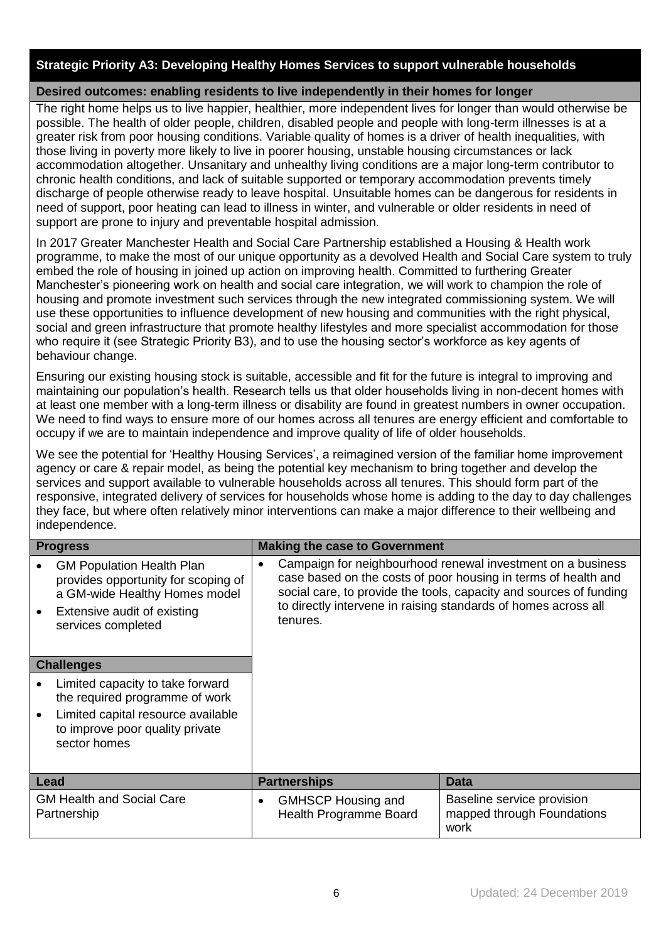# **Strategic Priority A3: Developing Healthy Homes Services to support vulnerable households**

# **Desired outcomes: enabling residents to live independently in their homes for longer**

The right home helps us to live happier, healthier, more independent lives for longer than would otherwise be possible. The health of older people, children, disabled people and people with long-term illnesses is at a greater risk from poor housing conditions. Variable quality of homes is a driver of health inequalities, with those living in poverty more likely to live in poorer housing, unstable housing circumstances or lack accommodation altogether. Unsanitary and unhealthy living conditions are a major long-term contributor to chronic health conditions, and lack of suitable supported or temporary accommodation prevents timely discharge of people otherwise ready to leave hospital. Unsuitable homes can be dangerous for residents in need of support, poor heating can lead to illness in winter, and vulnerable or older residents in need of support are prone to injury and preventable hospital admission.

In 2017 Greater Manchester Health and Social Care Partnership established a Housing & Health work programme, to make the most of our unique opportunity as a devolved Health and Social Care system to truly embed the role of housing in joined up action on improving health. Committed to furthering Greater Manchester's pioneering work on health and social care integration, we will work to champion the role of housing and promote investment such services through the new integrated commissioning system. We will use these opportunities to influence development of new housing and communities with the right physical, social and green infrastructure that promote healthy lifestyles and more specialist accommodation for those who require it (see Strategic Priority B3), and to use the housing sector's workforce as key agents of behaviour change.

Ensuring our existing housing stock is suitable, accessible and fit for the future is integral to improving and maintaining our population's health. Research tells us that older households living in non-decent homes with at least one member with a long-term illness or disability are found in greatest numbers in owner occupation. We need to find ways to ensure more of our homes across all tenures are energy efficient and comfortable to occupy if we are to maintain independence and improve quality of life of older households.

We see the potential for 'Healthy Housing Services', a reimagined version of the familiar home improvement agency or care & repair model, as being the potential key mechanism to bring together and develop the services and support available to vulnerable households across all tenures. This should form part of the responsive, integrated delivery of services for households whose home is adding to the day to day challenges they face, but where often relatively minor interventions can make a major difference to their wellbeing and independence.

| <b>Progress</b>                                                                                                                                               | <b>Making the case to Government</b>                                                                                                                                                                                                                                                           |                                                                  |
|---------------------------------------------------------------------------------------------------------------------------------------------------------------|------------------------------------------------------------------------------------------------------------------------------------------------------------------------------------------------------------------------------------------------------------------------------------------------|------------------------------------------------------------------|
| <b>GM Population Health Plan</b><br>provides opportunity for scoping of<br>a GM-wide Healthy Homes model<br>Extensive audit of existing<br>services completed | Campaign for neighbourhood renewal investment on a business<br>$\bullet$<br>case based on the costs of poor housing in terms of health and<br>social care, to provide the tools, capacity and sources of funding<br>to directly intervene in raising standards of homes across all<br>tenures. |                                                                  |
| <b>Challenges</b>                                                                                                                                             |                                                                                                                                                                                                                                                                                                |                                                                  |
| Limited capacity to take forward<br>the required programme of work<br>Limited capital resource available<br>to improve poor quality private<br>sector homes   |                                                                                                                                                                                                                                                                                                |                                                                  |
| Lead                                                                                                                                                          | <b>Partnerships</b>                                                                                                                                                                                                                                                                            | Data                                                             |
| <b>GM Health and Social Care</b><br>Partnership                                                                                                               | <b>GMHSCP Housing and</b><br>$\bullet$<br>Health Programme Board                                                                                                                                                                                                                               | Baseline service provision<br>mapped through Foundations<br>work |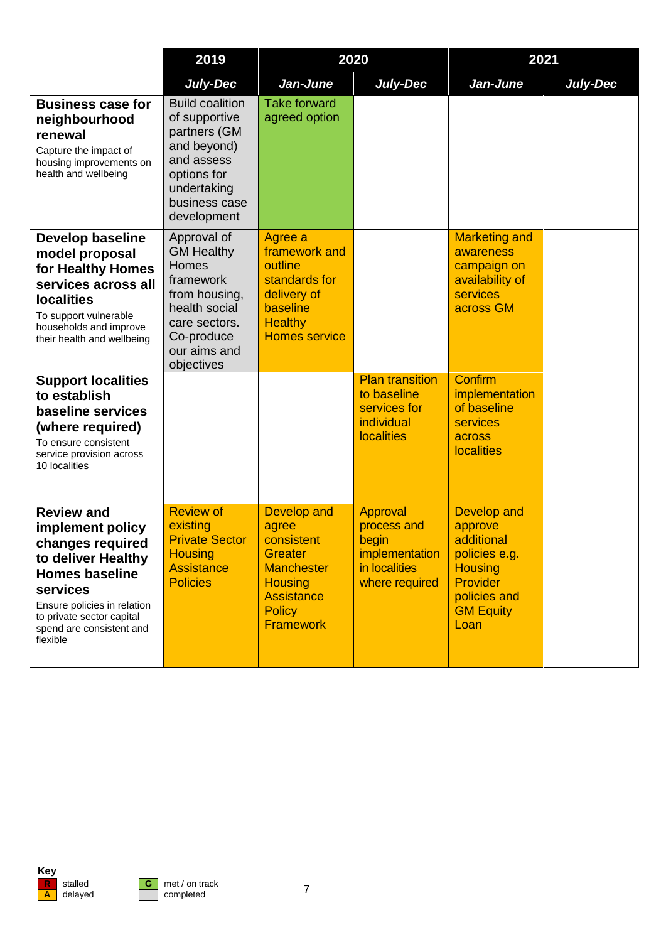|                                                                                                                                                                                                                          | 2019                                                                                                                                                  |                                                                                                                                                              | 2020                                                                                     |                                                                                                                                               | 2021            |
|--------------------------------------------------------------------------------------------------------------------------------------------------------------------------------------------------------------------------|-------------------------------------------------------------------------------------------------------------------------------------------------------|--------------------------------------------------------------------------------------------------------------------------------------------------------------|------------------------------------------------------------------------------------------|-----------------------------------------------------------------------------------------------------------------------------------------------|-----------------|
|                                                                                                                                                                                                                          | <b>July-Dec</b>                                                                                                                                       | Jan-June                                                                                                                                                     | July-Dec                                                                                 | Jan-June                                                                                                                                      | <b>July-Dec</b> |
| <b>Business case for</b><br>neighbourhood<br>renewal<br>Capture the impact of<br>housing improvements on<br>health and wellbeing                                                                                         | <b>Build coalition</b><br>of supportive<br>partners (GM<br>and beyond)<br>and assess<br>options for<br>undertaking<br>business case<br>development    | <b>Take forward</b><br>agreed option                                                                                                                         |                                                                                          |                                                                                                                                               |                 |
| <b>Develop baseline</b><br>model proposal<br>for Healthy Homes<br>services across all<br><b>localities</b><br>To support vulnerable<br>households and improve<br>their health and wellbeing                              | Approval of<br><b>GM Healthy</b><br>Homes<br>framework<br>from housing,<br>health social<br>care sectors.<br>Co-produce<br>our aims and<br>objectives | Agree a<br>framework and<br>outline<br>standards for<br>delivery of<br>baseline<br><b>Healthy</b><br><b>Homes service</b>                                    |                                                                                          | <b>Marketing and</b><br>awareness<br>campaign on<br>availability of<br><b>services</b><br>across GM                                           |                 |
| <b>Support localities</b><br>to establish<br>baseline services<br>(where required)<br>To ensure consistent<br>service provision across<br>10 localities                                                                  |                                                                                                                                                       |                                                                                                                                                              | <b>Plan transition</b><br>to baseline<br>services for<br>individual<br><b>localities</b> | <b>Confirm</b><br>implementation<br>of baseline<br>services<br>across<br><b>localities</b>                                                    |                 |
| <b>Review and</b><br>implement policy<br>changes required<br>to deliver Healthy<br><b>Homes baseline</b><br>services<br>Ensure policies in relation<br>to private sector capital<br>spend are consistent and<br>flexible | <b>Review of</b><br>existing<br><b>Private Sector</b><br><b>Housing</b><br><b>Assistance</b><br><b>Policies</b>                                       | <b>Develop and</b><br>agree<br>consistent<br><b>Greater</b><br><b>Manchester</b><br><b>Housing</b><br><b>Assistance</b><br><b>Policy</b><br><b>Framework</b> | Approval<br>process and<br>begin<br>implementation<br>in localities<br>where required    | <b>Develop and</b><br>approve<br>additional<br>policies e.g.<br><b>Housing</b><br><b>Provider</b><br>policies and<br><b>GM Equity</b><br>Loan |                 |

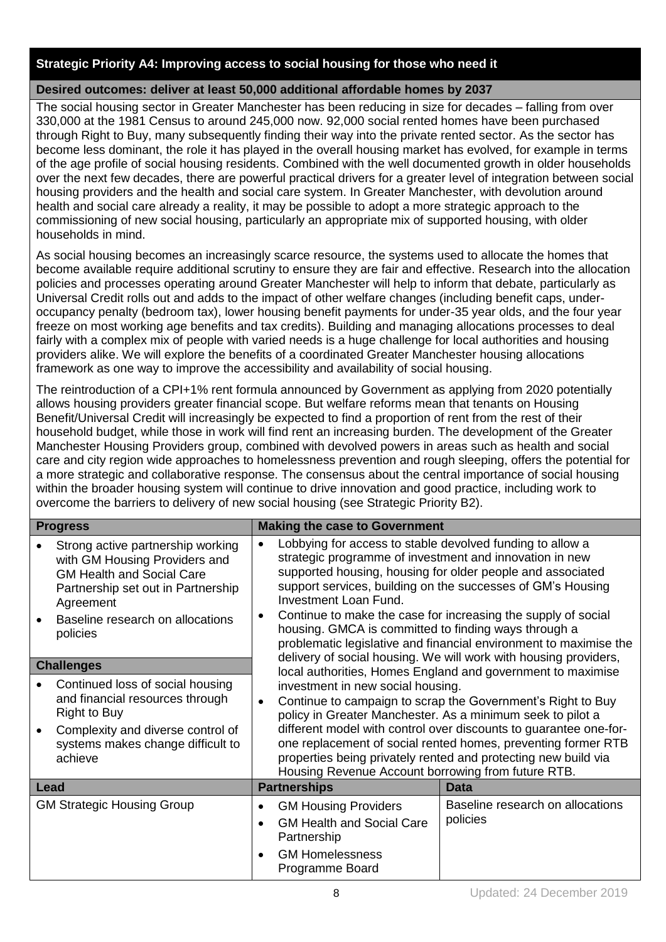#### **Strategic Priority A4: Improving access to social housing for those who need it**

#### **Desired outcomes: deliver at least 50,000 additional affordable homes by 2037**

The social housing sector in Greater Manchester has been reducing in size for decades – falling from over 330,000 at the 1981 Census to around 245,000 now. 92,000 social rented homes have been purchased through Right to Buy, many subsequently finding their way into the private rented sector. As the sector has become less dominant, the role it has played in the overall housing market has evolved, for example in terms of the age profile of social housing residents. Combined with the well documented growth in older households over the next few decades, there are powerful practical drivers for a greater level of integration between social housing providers and the health and social care system. In Greater Manchester, with devolution around health and social care already a reality, it may be possible to adopt a more strategic approach to the commissioning of new social housing, particularly an appropriate mix of supported housing, with older households in mind.

As social housing becomes an increasingly scarce resource, the systems used to allocate the homes that become available require additional scrutiny to ensure they are fair and effective. Research into the allocation policies and processes operating around Greater Manchester will help to inform that debate, particularly as Universal Credit rolls out and adds to the impact of other welfare changes (including benefit caps, underoccupancy penalty (bedroom tax), lower housing benefit payments for under-35 year olds, and the four year freeze on most working age benefits and tax credits). Building and managing allocations processes to deal fairly with a complex mix of people with varied needs is a huge challenge for local authorities and housing providers alike. We will explore the benefits of a coordinated Greater Manchester housing allocations framework as one way to improve the accessibility and availability of social housing.

The reintroduction of a CPI+1% rent formula announced by Government as applying from 2020 potentially allows housing providers greater financial scope. But welfare reforms mean that tenants on Housing Benefit/Universal Credit will increasingly be expected to find a proportion of rent from the rest of their household budget, while those in work will find rent an increasing burden. The development of the Greater Manchester Housing Providers group, combined with devolved powers in areas such as health and social care and city region wide approaches to homelessness prevention and rough sleeping, offers the potential for a more strategic and collaborative response. The consensus about the central importance of social housing within the broader housing system will continue to drive innovation and good practice, including work to overcome the barriers to delivery of new social housing (see Strategic Priority B2).

| <b>Progress</b>                                                                                                                                                                                           | <b>Making the case to Government</b>                                                                                                                                                                                                                                                                                                                                                                                                                                                                                                                                                                                                                                                                                                                                                                                                                                                                                                                                                                                                                                                      |                                              |  |
|-----------------------------------------------------------------------------------------------------------------------------------------------------------------------------------------------------------|-------------------------------------------------------------------------------------------------------------------------------------------------------------------------------------------------------------------------------------------------------------------------------------------------------------------------------------------------------------------------------------------------------------------------------------------------------------------------------------------------------------------------------------------------------------------------------------------------------------------------------------------------------------------------------------------------------------------------------------------------------------------------------------------------------------------------------------------------------------------------------------------------------------------------------------------------------------------------------------------------------------------------------------------------------------------------------------------|----------------------------------------------|--|
| Strong active partnership working<br>with GM Housing Providers and<br><b>GM Health and Social Care</b><br>Partnership set out in Partnership<br>Agreement<br>Baseline research on allocations<br>policies | Lobbying for access to stable devolved funding to allow a<br>$\bullet$<br>strategic programme of investment and innovation in new<br>supported housing, housing for older people and associated<br>support services, building on the successes of GM's Housing<br><b>Investment Loan Fund.</b><br>Continue to make the case for increasing the supply of social<br>$\bullet$<br>housing. GMCA is committed to finding ways through a<br>problematic legislative and financial environment to maximise the<br>delivery of social housing. We will work with housing providers,<br>local authorities, Homes England and government to maximise<br>investment in new social housing.<br>Continue to campaign to scrap the Government's Right to Buy<br>$\bullet$<br>policy in Greater Manchester. As a minimum seek to pilot a<br>different model with control over discounts to guarantee one-for-<br>one replacement of social rented homes, preventing former RTB<br>properties being privately rented and protecting new build via<br>Housing Revenue Account borrowing from future RTB. |                                              |  |
| <b>Challenges</b>                                                                                                                                                                                         |                                                                                                                                                                                                                                                                                                                                                                                                                                                                                                                                                                                                                                                                                                                                                                                                                                                                                                                                                                                                                                                                                           |                                              |  |
| Continued loss of social housing<br>and financial resources through<br><b>Right to Buy</b><br>Complexity and diverse control of<br>systems makes change difficult to<br>achieve                           |                                                                                                                                                                                                                                                                                                                                                                                                                                                                                                                                                                                                                                                                                                                                                                                                                                                                                                                                                                                                                                                                                           |                                              |  |
| Lead                                                                                                                                                                                                      | <b>Partnerships</b>                                                                                                                                                                                                                                                                                                                                                                                                                                                                                                                                                                                                                                                                                                                                                                                                                                                                                                                                                                                                                                                                       | Data                                         |  |
| <b>GM Strategic Housing Group</b>                                                                                                                                                                         | <b>GM Housing Providers</b><br>٠<br><b>GM Health and Social Care</b><br>$\bullet$<br>Partnership<br><b>GM Homelessness</b><br>$\bullet$<br>Programme Board                                                                                                                                                                                                                                                                                                                                                                                                                                                                                                                                                                                                                                                                                                                                                                                                                                                                                                                                | Baseline research on allocations<br>policies |  |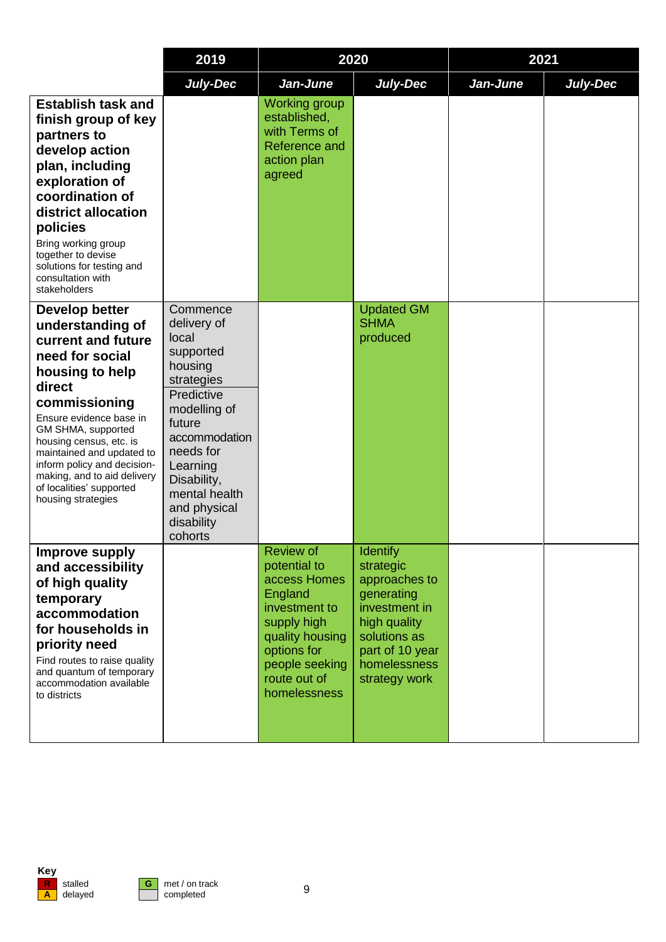|                                                                                                                                                                                                                                                                                                                                                    | 2019                                                                                                                                                                                                                              |                                                                                                                                                                                 | 2020                                                                                                                                                             |          | 2021            |
|----------------------------------------------------------------------------------------------------------------------------------------------------------------------------------------------------------------------------------------------------------------------------------------------------------------------------------------------------|-----------------------------------------------------------------------------------------------------------------------------------------------------------------------------------------------------------------------------------|---------------------------------------------------------------------------------------------------------------------------------------------------------------------------------|------------------------------------------------------------------------------------------------------------------------------------------------------------------|----------|-----------------|
|                                                                                                                                                                                                                                                                                                                                                    | <b>July-Dec</b>                                                                                                                                                                                                                   | Jan-June                                                                                                                                                                        | July-Dec                                                                                                                                                         | Jan-June | <b>July-Dec</b> |
| <b>Establish task and</b><br>finish group of key<br>partners to<br>develop action<br>plan, including<br>exploration of<br>coordination of<br>district allocation<br>policies<br>Bring working group<br>together to devise<br>solutions for testing and<br>consultation with<br>stakeholders                                                        |                                                                                                                                                                                                                                   | <b>Working group</b><br>established,<br>with Terms of<br>Reference and<br>action plan<br>agreed                                                                                 |                                                                                                                                                                  |          |                 |
| Develop better<br>understanding of<br>current and future<br>need for social<br>housing to help<br>direct<br>commissioning<br>Ensure evidence base in<br>GM SHMA, supported<br>housing census, etc. is<br>maintained and updated to<br>inform policy and decision-<br>making, and to aid delivery<br>of localities' supported<br>housing strategies | Commence<br>delivery of<br>local<br>supported<br>housing<br>strategies<br>Predictive<br>modelling of<br>future<br>accommodation<br>needs for<br>Learning<br>Disability,<br>mental health<br>and physical<br>disability<br>cohorts |                                                                                                                                                                                 | <b>Updated GM</b><br><b>SHMA</b><br>produced                                                                                                                     |          |                 |
| <b>Improve supply</b><br>and accessibility<br>of high quality<br>temporary<br>accommodation<br>for households in<br>priority need<br>Find routes to raise quality<br>and quantum of temporary<br>accommodation available<br>to districts                                                                                                           |                                                                                                                                                                                                                                   | <b>Review of</b><br>potential to<br>access Homes<br>England<br>investment to<br>supply high<br>quality housing<br>options for<br>people seeking<br>route out of<br>homelessness | <b>Identify</b><br>strategic<br>approaches to<br>generating<br>investment in<br>high quality<br>solutions as<br>part of 10 year<br>homelessness<br>strategy work |          |                 |

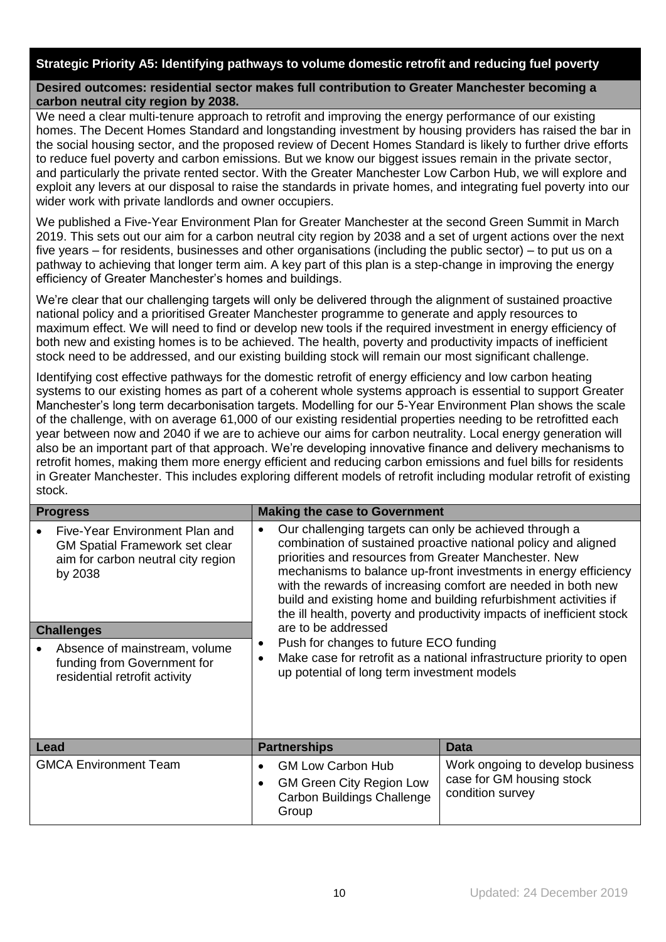#### **Strategic Priority A5: Identifying pathways to volume domestic retrofit and reducing fuel poverty**

#### **Desired outcomes: residential sector makes full contribution to Greater Manchester becoming a carbon neutral city region by 2038.**

We need a clear multi-tenure approach to retrofit and improving the energy performance of our existing homes. The Decent Homes Standard and longstanding investment by housing providers has raised the bar in the social housing sector, and the proposed review of Decent Homes Standard is likely to further drive efforts to reduce fuel poverty and carbon emissions. But we know our biggest issues remain in the private sector, and particularly the private rented sector. With the Greater Manchester Low Carbon Hub, we will explore and exploit any levers at our disposal to raise the standards in private homes, and integrating fuel poverty into our wider work with private landlords and owner occupiers.

We published a Five-Year Environment Plan for Greater Manchester at the second Green Summit in March 2019. This sets out our aim for a carbon neutral city region by 2038 and a set of urgent actions over the next five years – for residents, businesses and other organisations (including the public sector) – to put us on a pathway to achieving that longer term aim. A key part of this plan is a step-change in improving the energy efficiency of Greater Manchester's homes and buildings.

We're clear that our challenging targets will only be delivered through the alignment of sustained proactive national policy and a prioritised Greater Manchester programme to generate and apply resources to maximum effect. We will need to find or develop new tools if the required investment in energy efficiency of both new and existing homes is to be achieved. The health, poverty and productivity impacts of inefficient stock need to be addressed, and our existing building stock will remain our most significant challenge.

Identifying cost effective pathways for the domestic retrofit of energy efficiency and low carbon heating systems to our existing homes as part of a coherent whole systems approach is essential to support Greater Manchester's long term decarbonisation targets. Modelling for our 5-Year Environment Plan shows the scale of the challenge, with on average 61,000 of our existing residential properties needing to be retrofitted each year between now and 2040 if we are to achieve our aims for carbon neutrality. Local energy generation will also be an important part of that approach. We're developing innovative finance and delivery mechanisms to retrofit homes, making them more energy efficient and reducing carbon emissions and fuel bills for residents in Greater Manchester. This includes exploring different models of retrofit including modular retrofit of existing stock.

| <b>Progress</b>                                                                                                          |                                                                                                                                                                                                                                                                                                                                                                                                                                                                                                                                                                                                                                                                                           | <b>Making the case to Government</b>                                                                      |                                                                                   |
|--------------------------------------------------------------------------------------------------------------------------|-------------------------------------------------------------------------------------------------------------------------------------------------------------------------------------------------------------------------------------------------------------------------------------------------------------------------------------------------------------------------------------------------------------------------------------------------------------------------------------------------------------------------------------------------------------------------------------------------------------------------------------------------------------------------------------------|-----------------------------------------------------------------------------------------------------------|-----------------------------------------------------------------------------------|
| Five-Year Environment Plan and<br><b>GM Spatial Framework set clear</b><br>aim for carbon neutral city region<br>by 2038 | Our challenging targets can only be achieved through a<br>$\bullet$<br>combination of sustained proactive national policy and aligned<br>priorities and resources from Greater Manchester. New<br>mechanisms to balance up-front investments in energy efficiency<br>with the rewards of increasing comfort are needed in both new<br>build and existing home and building refurbishment activities if<br>the ill health, poverty and productivity impacts of inefficient stock<br>are to be addressed<br>Push for changes to future ECO funding<br>٠<br>Make case for retrofit as a national infrastructure priority to open<br>$\bullet$<br>up potential of long term investment models |                                                                                                           |                                                                                   |
| <b>Challenges</b>                                                                                                        |                                                                                                                                                                                                                                                                                                                                                                                                                                                                                                                                                                                                                                                                                           |                                                                                                           |                                                                                   |
| Absence of mainstream, volume<br>funding from Government for<br>residential retrofit activity                            |                                                                                                                                                                                                                                                                                                                                                                                                                                                                                                                                                                                                                                                                                           |                                                                                                           |                                                                                   |
| Lead                                                                                                                     |                                                                                                                                                                                                                                                                                                                                                                                                                                                                                                                                                                                                                                                                                           | <b>Partnerships</b>                                                                                       | <b>Data</b>                                                                       |
| <b>GMCA Environment Team</b>                                                                                             | $\bullet$                                                                                                                                                                                                                                                                                                                                                                                                                                                                                                                                                                                                                                                                                 | <b>GM Low Carbon Hub</b><br><b>GM Green City Region Low</b><br><b>Carbon Buildings Challenge</b><br>Group | Work ongoing to develop business<br>case for GM housing stock<br>condition survey |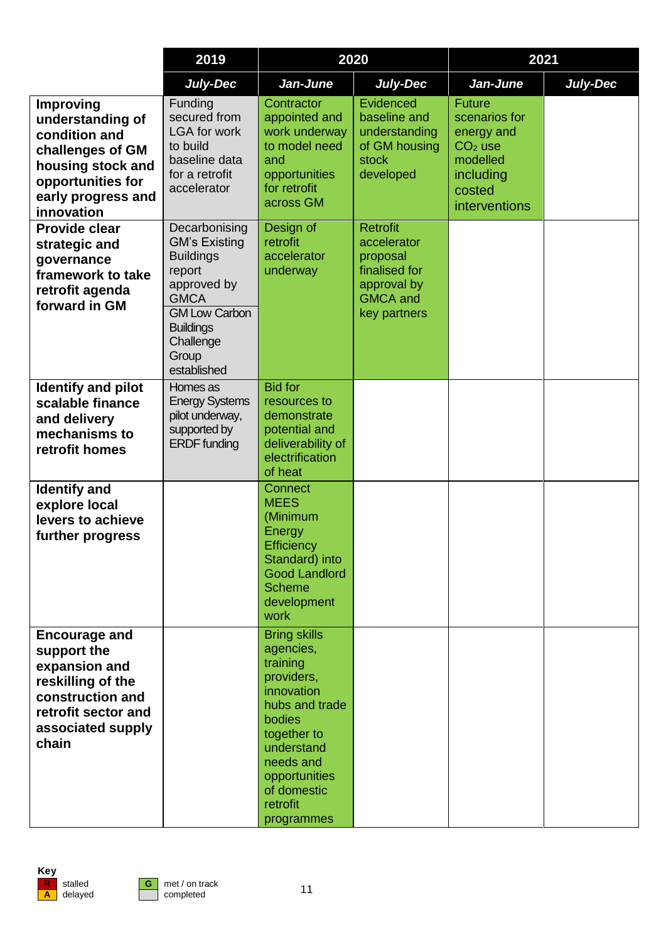|                                                                                                                                                         | 2019                                                                                                                                                                               | 2020                                                                                                                                                                                                     |                                                                                                               | 2021                                                                                                          |          |
|---------------------------------------------------------------------------------------------------------------------------------------------------------|------------------------------------------------------------------------------------------------------------------------------------------------------------------------------------|----------------------------------------------------------------------------------------------------------------------------------------------------------------------------------------------------------|---------------------------------------------------------------------------------------------------------------|---------------------------------------------------------------------------------------------------------------|----------|
|                                                                                                                                                         | <b>July-Dec</b>                                                                                                                                                                    | Jan-June                                                                                                                                                                                                 | <b>July-Dec</b>                                                                                               | Jan-June                                                                                                      | July-Dec |
| <b>Improving</b><br>understanding of<br>condition and<br>challenges of GM<br>housing stock and<br>opportunities for<br>early progress and<br>innovation | Funding<br>secured from<br><b>LGA for work</b><br>to build<br>baseline data<br>for a retrofit<br>accelerator                                                                       | Contractor<br>appointed and<br>work underway<br>to model need<br>and<br>opportunities<br>for retrofit<br>across GM                                                                                       | Evidenced<br>baseline and<br>understanding<br>of GM housing<br><b>stock</b><br>developed                      | <b>Future</b><br>scenarios for<br>energy and<br>$CO2$ use<br>modelled<br>including<br>costed<br>interventions |          |
| <b>Provide clear</b><br>strategic and<br>governance<br>framework to take<br>retrofit agenda<br>forward in GM                                            | Decarbonising<br><b>GM's Existing</b><br><b>Buildings</b><br>report<br>approved by<br><b>GMCA</b><br><b>GM Low Carbon</b><br><b>Buildings</b><br>Challenge<br>Group<br>established | Design of<br>retrofit<br>accelerator<br>underway                                                                                                                                                         | <b>Retrofit</b><br>accelerator<br>proposal<br>finalised for<br>approval by<br><b>GMCA</b> and<br>key partners |                                                                                                               |          |
| <b>Identify and pilot</b><br>scalable finance<br>and delivery<br>mechanisms to<br>retrofit homes                                                        | Homes as<br><b>Energy Systems</b><br>pilot underway,<br>supported by<br><b>ERDF</b> funding                                                                                        | <b>Bid for</b><br>resources to<br>demonstrate<br>potential and<br>deliverability of<br>electrification<br>of heat                                                                                        |                                                                                                               |                                                                                                               |          |
| <b>Identify and</b><br>explore local<br>levers to achieve<br>further progress                                                                           |                                                                                                                                                                                    | <b>Connect</b><br><b>MEES</b><br>(Minimum<br>Energy<br><b>Efficiency</b><br>Standard) into<br><b>Good Landlord</b><br><b>Scheme</b><br>development<br>work                                               |                                                                                                               |                                                                                                               |          |
| <b>Encourage and</b><br>support the<br>expansion and<br>reskilling of the<br>construction and<br>retrofit sector and<br>associated supply<br>chain      |                                                                                                                                                                                    | <b>Bring skills</b><br>agencies,<br>training<br>providers,<br>innovation<br>hubs and trade<br>bodies<br>together to<br>understand<br>needs and<br>opportunities<br>of domestic<br>retrofit<br>programmes |                                                                                                               |                                                                                                               |          |

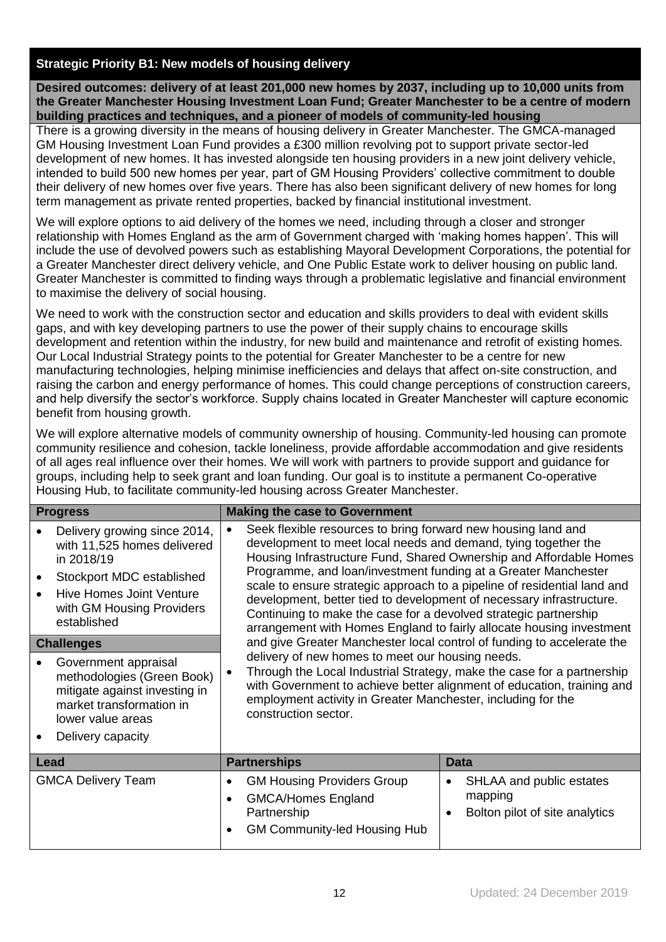## **Strategic Priority B1: New models of housing delivery**

**Desired outcomes: delivery of at least 201,000 new homes by 2037, including up to 10,000 units from the Greater Manchester Housing Investment Loan Fund; Greater Manchester to be a centre of modern building practices and techniques, and a pioneer of models of community-led housing**

There is a growing diversity in the means of housing delivery in Greater Manchester. The GMCA-managed GM Housing Investment Loan Fund provides a £300 million revolving pot to support private sector-led development of new homes. It has invested alongside ten housing providers in a new joint delivery vehicle, intended to build 500 new homes per year, part of GM Housing Providers' collective commitment to double their delivery of new homes over five years. There has also been significant delivery of new homes for long term management as private rented properties, backed by financial institutional investment.

We will explore options to aid delivery of the homes we need, including through a closer and stronger relationship with Homes England as the arm of Government charged with 'making homes happen'. This will include the use of devolved powers such as establishing Mayoral Development Corporations, the potential for a Greater Manchester direct delivery vehicle, and One Public Estate work to deliver housing on public land. Greater Manchester is committed to finding ways through a problematic legislative and financial environment to maximise the delivery of social housing.

We need to work with the construction sector and education and skills providers to deal with evident skills gaps, and with key developing partners to use the power of their supply chains to encourage skills development and retention within the industry, for new build and maintenance and retrofit of existing homes. Our Local Industrial Strategy points to the potential for Greater Manchester to be a centre for new manufacturing technologies, helping minimise inefficiencies and delays that affect on-site construction, and raising the carbon and energy performance of homes. This could change perceptions of construction careers, and help diversify the sector's workforce. Supply chains located in Greater Manchester will capture economic benefit from housing growth.

We will explore alternative models of community ownership of housing. Community-led housing can promote community resilience and cohesion, tackle loneliness, provide affordable accommodation and give residents of all ages real influence over their homes. We will work with partners to provide support and guidance for groups, including help to seek grant and loan funding. Our goal is to institute a permanent Co-operative Housing Hub, to facilitate community-led housing across Greater Manchester.

| <b>Progress</b>                                                                                                                                                                                                                                                                                                                                                  | <b>Making the case to Government</b>                                                                                                                                                                                                                                                                                                                                                                                                                                                                                                                                                                                                                                                                                                                                                                                                                                                                                                                                        |                                                                                    |  |  |  |
|------------------------------------------------------------------------------------------------------------------------------------------------------------------------------------------------------------------------------------------------------------------------------------------------------------------------------------------------------------------|-----------------------------------------------------------------------------------------------------------------------------------------------------------------------------------------------------------------------------------------------------------------------------------------------------------------------------------------------------------------------------------------------------------------------------------------------------------------------------------------------------------------------------------------------------------------------------------------------------------------------------------------------------------------------------------------------------------------------------------------------------------------------------------------------------------------------------------------------------------------------------------------------------------------------------------------------------------------------------|------------------------------------------------------------------------------------|--|--|--|
| Delivery growing since 2014,<br>with 11,525 homes delivered<br>in 2018/19<br>Stockport MDC established<br>Hive Homes Joint Venture<br>with GM Housing Providers<br>established<br><b>Challenges</b><br>Government appraisal<br>methodologies (Green Book)<br>mitigate against investing in<br>market transformation in<br>lower value areas<br>Delivery capacity | Seek flexible resources to bring forward new housing land and<br>$\bullet$<br>development to meet local needs and demand, tying together the<br>Housing Infrastructure Fund, Shared Ownership and Affordable Homes<br>Programme, and loan/investment funding at a Greater Manchester<br>scale to ensure strategic approach to a pipeline of residential land and<br>development, better tied to development of necessary infrastructure.<br>Continuing to make the case for a devolved strategic partnership<br>arrangement with Homes England to fairly allocate housing investment<br>and give Greater Manchester local control of funding to accelerate the<br>delivery of new homes to meet our housing needs.<br>Through the Local Industrial Strategy, make the case for a partnership<br>$\bullet$<br>with Government to achieve better alignment of education, training and<br>employment activity in Greater Manchester, including for the<br>construction sector. |                                                                                    |  |  |  |
| <b>Lead</b>                                                                                                                                                                                                                                                                                                                                                      | <b>Partnerships</b>                                                                                                                                                                                                                                                                                                                                                                                                                                                                                                                                                                                                                                                                                                                                                                                                                                                                                                                                                         | <b>Data</b>                                                                        |  |  |  |
| <b>GMCA Delivery Team</b>                                                                                                                                                                                                                                                                                                                                        | <b>GM Housing Providers Group</b><br>$\bullet$<br><b>GMCA/Homes England</b><br>$\bullet$<br>Partnership<br><b>GM Community-led Housing Hub</b><br>$\bullet$                                                                                                                                                                                                                                                                                                                                                                                                                                                                                                                                                                                                                                                                                                                                                                                                                 | SHLAA and public estates<br>mapping<br>Bolton pilot of site analytics<br>$\bullet$ |  |  |  |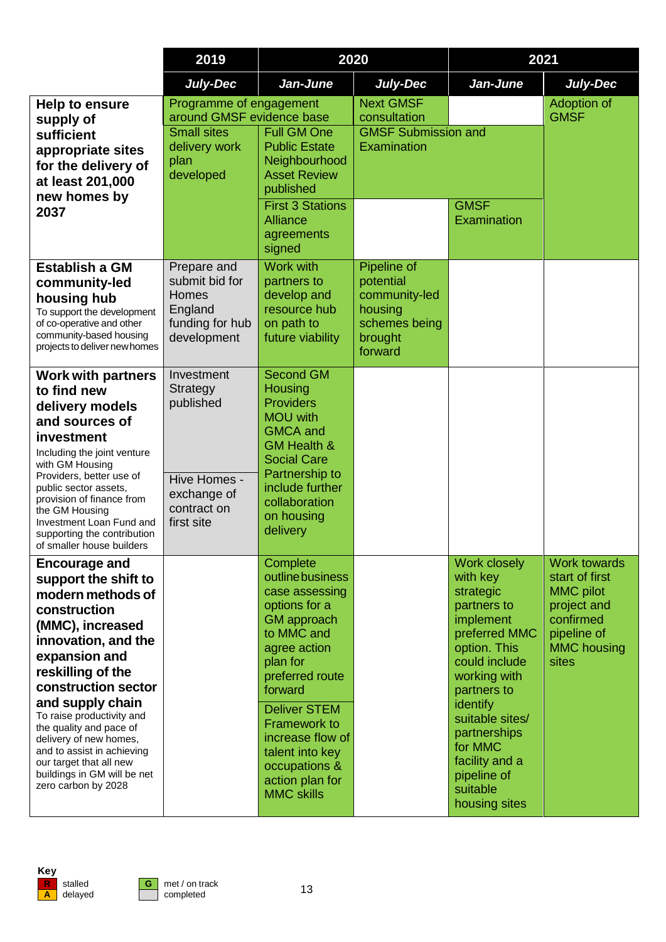|                                                                                                                                                                                                                                                                                                                                                                                                                | 2019                                                                                                             | 2020                                                                                                                                                                                                                                                                                                        |                                                                                             | 2021                                                                                                                                                                                                                                                                       |                                                                                                                                     |
|----------------------------------------------------------------------------------------------------------------------------------------------------------------------------------------------------------------------------------------------------------------------------------------------------------------------------------------------------------------------------------------------------------------|------------------------------------------------------------------------------------------------------------------|-------------------------------------------------------------------------------------------------------------------------------------------------------------------------------------------------------------------------------------------------------------------------------------------------------------|---------------------------------------------------------------------------------------------|----------------------------------------------------------------------------------------------------------------------------------------------------------------------------------------------------------------------------------------------------------------------------|-------------------------------------------------------------------------------------------------------------------------------------|
|                                                                                                                                                                                                                                                                                                                                                                                                                | <b>July-Dec</b>                                                                                                  | Jan-June                                                                                                                                                                                                                                                                                                    | <b>July-Dec</b>                                                                             | Jan-June                                                                                                                                                                                                                                                                   | July-Dec                                                                                                                            |
| Help to ensure<br>supply of<br>sufficient<br>appropriate sites<br>for the delivery of<br>at least 201,000<br>new homes by<br>2037                                                                                                                                                                                                                                                                              | Programme of engagement<br>around GMSF evidence base<br><b>Small sites</b><br>delivery work<br>plan<br>developed | <b>Full GM One</b><br><b>Public Estate</b><br>Neighbourhood<br><b>Asset Review</b><br>published<br><b>First 3 Stations</b><br><b>Alliance</b><br>agreements<br>signed                                                                                                                                       | <b>Next GMSF</b><br>consultation<br><b>GMSF Submission and</b><br>Examination               | <b>GMSF</b><br>Examination                                                                                                                                                                                                                                                 | Adoption of<br><b>GMSF</b>                                                                                                          |
| <b>Establish a GM</b><br>community-led<br>housing hub<br>To support the development<br>of co-operative and other<br>community-based housing<br>projects to deliver new homes                                                                                                                                                                                                                                   | Prepare and<br>submit bid for<br><b>Homes</b><br>England<br>funding for hub<br>development                       | Work with<br>partners to<br>develop and<br>resource hub<br>on path to<br>future viability                                                                                                                                                                                                                   | Pipeline of<br>potential<br>community-led<br>housing<br>schemes being<br>brought<br>forward |                                                                                                                                                                                                                                                                            |                                                                                                                                     |
| <b>Work with partners</b><br>to find new<br>delivery models<br>and sources of<br>investment<br>Including the joint venture<br>with GM Housing<br>Providers, better use of<br>public sector assets,<br>provision of finance from<br>the GM Housing<br>Investment Loan Fund and<br>supporting the contribution<br>of smaller house builders                                                                      | Investment<br><b>Strategy</b><br>published<br>Hive Homes -<br>exchange of<br>contract on<br>first site           | <b>Second GM</b><br>Housing<br><b>Providers</b><br><b>MOU</b> with<br><b>GMCA</b> and<br><b>GM Health &amp;</b><br><b>Social Care</b><br>Partnership to<br>include further<br>collaboration<br>on housing<br>delivery                                                                                       |                                                                                             |                                                                                                                                                                                                                                                                            |                                                                                                                                     |
| <b>Encourage and</b><br>support the shift to<br>modern methods of<br>construction<br>(MMC), increased<br>innovation, and the<br>expansion and<br>reskilling of the<br>construction sector<br>and supply chain<br>To raise productivity and<br>the quality and pace of<br>delivery of new homes,<br>and to assist in achieving<br>our target that all new<br>buildings in GM will be net<br>zero carbon by 2028 |                                                                                                                  | Complete<br>outline business<br>case assessing<br>options for a<br><b>GM</b> approach<br>to MMC and<br>agree action<br>plan for<br>preferred route<br>forward<br><b>Deliver STEM</b><br><b>Framework to</b><br>increase flow of<br>talent into key<br>occupations &<br>action plan for<br><b>MMC skills</b> |                                                                                             | Work closely<br>with key<br>strategic<br>partners to<br>implement<br>preferred MMC<br>option. This<br>could include<br>working with<br>partners to<br>identify<br>suitable sites/<br>partnerships<br>for MMC<br>facility and a<br>pipeline of<br>suitable<br>housing sites | <b>Work towards</b><br>start of first<br><b>MMC</b> pilot<br>project and<br>confirmed<br>pipeline of<br><b>MMC housing</b><br>sites |

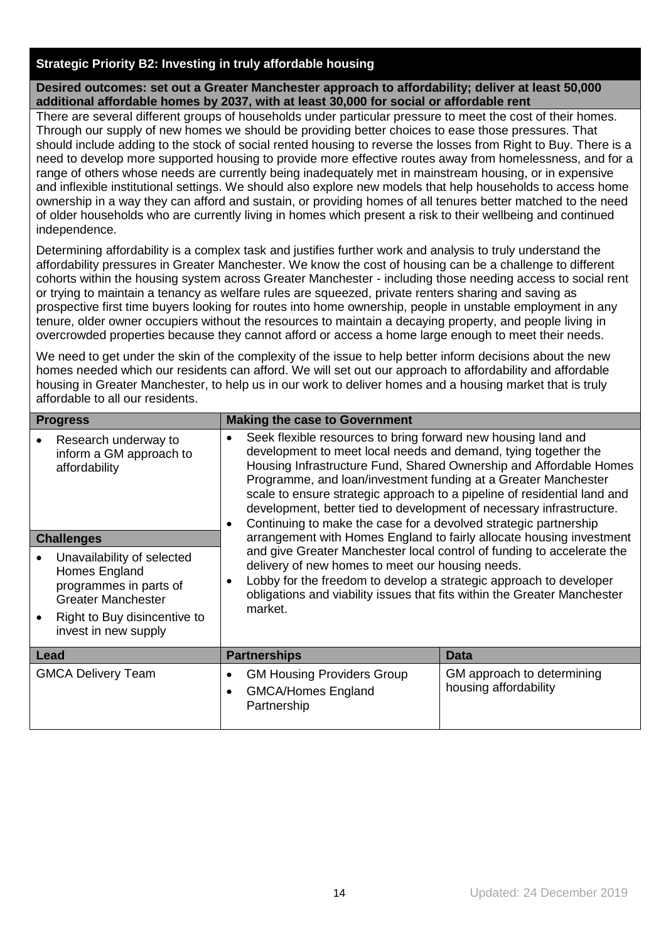#### **Strategic Priority B2: Investing in truly affordable housing**

**Desired outcomes: set out a Greater Manchester approach to affordability; deliver at least 50,000 additional affordable homes by 2037, with at least 30,000 for social or affordable rent**

There are several different groups of households under particular pressure to meet the cost of their homes. Through our supply of new homes we should be providing better choices to ease those pressures. That should include adding to the stock of social rented housing to reverse the losses from Right to Buy. There is a need to develop more supported housing to provide more effective routes away from homelessness, and for a range of others whose needs are currently being inadequately met in mainstream housing, or in expensive and inflexible institutional settings. We should also explore new models that help households to access home ownership in a way they can afford and sustain, or providing homes of all tenures better matched to the need of older households who are currently living in homes which present a risk to their wellbeing and continued independence.

Determining affordability is a complex task and justifies further work and analysis to truly understand the affordability pressures in Greater Manchester. We know the cost of housing can be a challenge to different cohorts within the housing system across Greater Manchester - including those needing access to social rent or trying to maintain a tenancy as welfare rules are squeezed, private renters sharing and saving as prospective first time buyers looking for routes into home ownership, people in unstable employment in any tenure, older owner occupiers without the resources to maintain a decaying property, and people living in overcrowded properties because they cannot afford or access a home large enough to meet their needs.

We need to get under the skin of the complexity of the issue to help better inform decisions about the new homes needed which our residents can afford. We will set out our approach to affordability and affordable housing in Greater Manchester, to help us in our work to deliver homes and a housing market that is truly affordable to all our residents.

| <b>Progress</b>                                                                                                                                            | <b>Making the case to Government</b>                                                                                                                                                                                                                                                                                                                                                                                                                                                            |                                                     |  |  |
|------------------------------------------------------------------------------------------------------------------------------------------------------------|-------------------------------------------------------------------------------------------------------------------------------------------------------------------------------------------------------------------------------------------------------------------------------------------------------------------------------------------------------------------------------------------------------------------------------------------------------------------------------------------------|-----------------------------------------------------|--|--|
| Research underway to<br>inform a GM approach to<br>affordability                                                                                           | Seek flexible resources to bring forward new housing land and<br>development to meet local needs and demand, tying together the<br>Housing Infrastructure Fund, Shared Ownership and Affordable Homes<br>Programme, and loan/investment funding at a Greater Manchester<br>scale to ensure strategic approach to a pipeline of residential land and<br>development, better tied to development of necessary infrastructure.<br>Continuing to make the case for a devolved strategic partnership |                                                     |  |  |
| <b>Challenges</b>                                                                                                                                          | arrangement with Homes England to fairly allocate housing investment                                                                                                                                                                                                                                                                                                                                                                                                                            |                                                     |  |  |
| Unavailability of selected<br>Homes England<br>programmes in parts of<br><b>Greater Manchester</b><br>Right to Buy disincentive to<br>invest in new supply | and give Greater Manchester local control of funding to accelerate the<br>delivery of new homes to meet our housing needs.<br>Lobby for the freedom to develop a strategic approach to developer<br>obligations and viability issues that fits within the Greater Manchester<br>market.                                                                                                                                                                                                         |                                                     |  |  |
| Lead                                                                                                                                                       | <b>Partnerships</b>                                                                                                                                                                                                                                                                                                                                                                                                                                                                             | Data                                                |  |  |
| <b>GMCA Delivery Team</b>                                                                                                                                  | <b>GM Housing Providers Group</b><br><b>GMCA/Homes England</b><br>$\bullet$<br>Partnership                                                                                                                                                                                                                                                                                                                                                                                                      | GM approach to determining<br>housing affordability |  |  |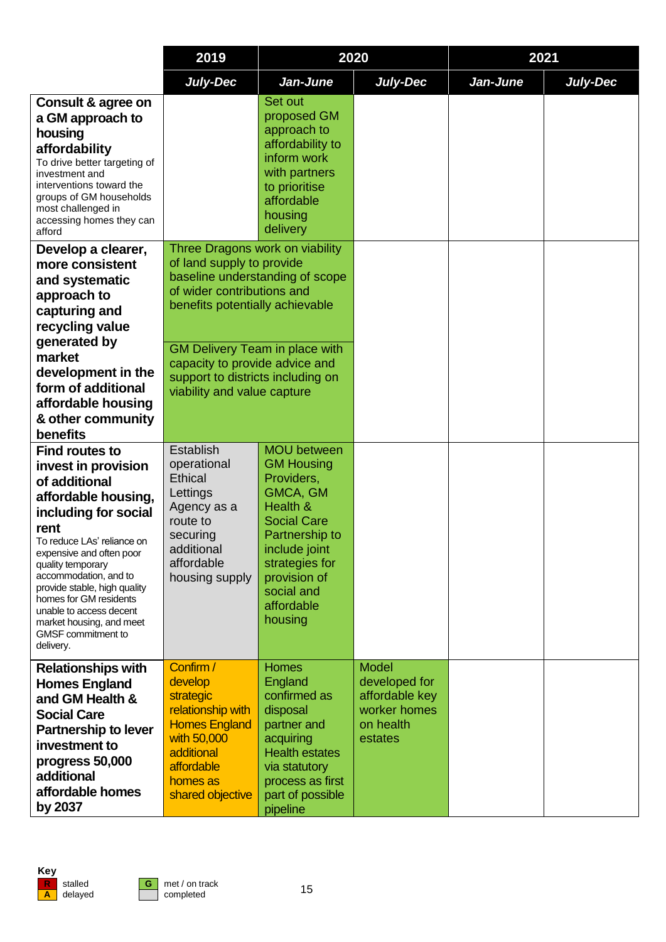|                                                                                                                                                                                                                                                                                                                                                                                  | 2019                                                                                                                                                                                                                                                                                                            | 2020                                                                                                                                                                                                            |                                                                                         | 2021     |          |
|----------------------------------------------------------------------------------------------------------------------------------------------------------------------------------------------------------------------------------------------------------------------------------------------------------------------------------------------------------------------------------|-----------------------------------------------------------------------------------------------------------------------------------------------------------------------------------------------------------------------------------------------------------------------------------------------------------------|-----------------------------------------------------------------------------------------------------------------------------------------------------------------------------------------------------------------|-----------------------------------------------------------------------------------------|----------|----------|
|                                                                                                                                                                                                                                                                                                                                                                                  | <b>July-Dec</b>                                                                                                                                                                                                                                                                                                 | Jan-June                                                                                                                                                                                                        | July-Dec                                                                                | Jan-June | July-Dec |
| Consult & agree on<br>a GM approach to<br>housing<br>affordability<br>To drive better targeting of<br>investment and<br>interventions toward the<br>groups of GM households<br>most challenged in<br>accessing homes they can<br>afford                                                                                                                                          |                                                                                                                                                                                                                                                                                                                 | Set out<br>proposed GM<br>approach to<br>affordability to<br>inform work<br>with partners<br>to prioritise<br>affordable<br>housing<br>delivery                                                                 |                                                                                         |          |          |
| Develop a clearer,<br>more consistent<br>and systematic<br>approach to<br>capturing and<br>recycling value<br>generated by<br>market<br>development in the<br>form of additional<br>affordable housing<br>& other community<br>benefits                                                                                                                                          | Three Dragons work on viability<br>of land supply to provide<br>baseline understanding of scope<br>of wider contributions and<br>benefits potentially achievable<br><b>GM Delivery Team in place with</b><br>capacity to provide advice and<br>support to districts including on<br>viability and value capture |                                                                                                                                                                                                                 |                                                                                         |          |          |
| <b>Find routes to</b><br>invest in provision<br>of additional<br>affordable housing,<br>including for social<br>rent<br>To reduce LAs' reliance on<br>expensive and often poor<br>quality temporary<br>accommodation, and to<br>provide stable, high quality<br>homes for GM residents<br>unable to access decent<br>market housing, and meet<br>GMSF commitment to<br>delivery. | Establish<br>operational<br><b>Ethical</b><br>Lettings<br>Agency as a<br>route to<br>securing<br>additional<br>affordable<br>housing supply                                                                                                                                                                     | <b>MOU</b> between<br><b>GM Housing</b><br>Providers,<br>GMCA, GM<br>Health &<br><b>Social Care</b><br>Partnership to<br>include joint<br>strategies for<br>provision of<br>social and<br>affordable<br>housing |                                                                                         |          |          |
| <b>Relationships with</b><br><b>Homes England</b><br>and GM Health &<br><b>Social Care</b><br><b>Partnership to lever</b><br>investment to<br>progress 50,000<br>additional<br>affordable homes<br>by 2037                                                                                                                                                                       | Confirm /<br>develop<br>strategic<br>relationship with<br><b>Homes England</b><br>with 50,000<br>additional<br>affordable<br>homes as<br>shared objective                                                                                                                                                       | <b>Homes</b><br>England<br>confirmed as<br>disposal<br>partner and<br>acquiring<br><b>Health estates</b><br>via statutory<br>process as first<br>part of possible<br>pipeline                                   | <b>Model</b><br>developed for<br>affordable key<br>worker homes<br>on health<br>estates |          |          |

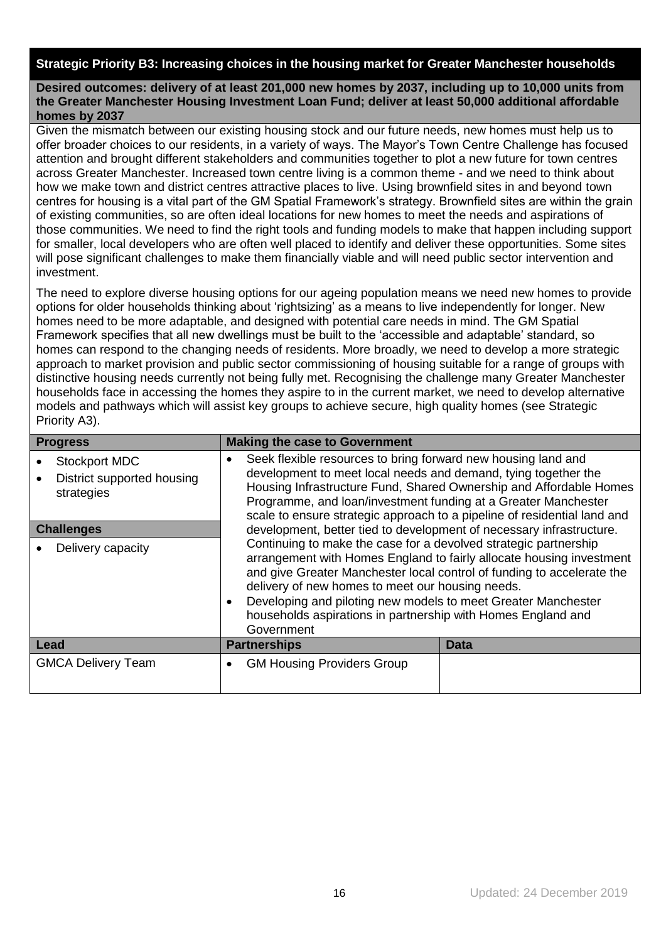#### **Strategic Priority B3: Increasing choices in the housing market for Greater Manchester households**

**Desired outcomes: delivery of at least 201,000 new homes by 2037, including up to 10,000 units from the Greater Manchester Housing Investment Loan Fund; deliver at least 50,000 additional affordable homes by 2037**

Given the mismatch between our existing housing stock and our future needs, new homes must help us to offer broader choices to our residents, in a variety of ways. The Mayor's Town Centre Challenge has focused attention and brought different stakeholders and communities together to plot a new future for town centres across Greater Manchester. Increased town centre living is a common theme - and we need to think about how we make town and district centres attractive places to live. Using brownfield sites in and beyond town centres for housing is a vital part of the GM Spatial Framework's strategy. Brownfield sites are within the grain of existing communities, so are often ideal locations for new homes to meet the needs and aspirations of those communities. We need to find the right tools and funding models to make that happen including support for smaller, local developers who are often well placed to identify and deliver these opportunities. Some sites will pose significant challenges to make them financially viable and will need public sector intervention and investment.

The need to explore diverse housing options for our ageing population means we need new homes to provide options for older households thinking about 'rightsizing' as a means to live independently for longer. New homes need to be more adaptable, and designed with potential care needs in mind. The GM Spatial Framework specifies that all new dwellings must be built to the 'accessible and adaptable' standard, so homes can respond to the changing needs of residents. More broadly, we need to develop a more strategic approach to market provision and public sector commissioning of housing suitable for a range of groups with distinctive housing needs currently not being fully met. Recognising the challenge many Greater Manchester households face in accessing the homes they aspire to in the current market, we need to develop alternative models and pathways which will assist key groups to achieve secure, high quality homes (see Strategic Priority A3).

| <b>Progress</b>                                                  | <b>Making the case to Government</b>                                                                                                                                                                                                                                                                                                                                                                                                                                                                       |             |  |  |
|------------------------------------------------------------------|------------------------------------------------------------------------------------------------------------------------------------------------------------------------------------------------------------------------------------------------------------------------------------------------------------------------------------------------------------------------------------------------------------------------------------------------------------------------------------------------------------|-------------|--|--|
| <b>Stockport MDC</b><br>District supported housing<br>strategies | Seek flexible resources to bring forward new housing land and<br>$\bullet$<br>development to meet local needs and demand, tying together the<br>Housing Infrastructure Fund, Shared Ownership and Affordable Homes<br>Programme, and loan/investment funding at a Greater Manchester<br>scale to ensure strategic approach to a pipeline of residential land and                                                                                                                                           |             |  |  |
| <b>Challenges</b>                                                | development, better tied to development of necessary infrastructure.<br>Continuing to make the case for a devolved strategic partnership<br>arrangement with Homes England to fairly allocate housing investment<br>and give Greater Manchester local control of funding to accelerate the<br>delivery of new homes to meet our housing needs.<br>Developing and piloting new models to meet Greater Manchester<br>$\bullet$<br>households aspirations in partnership with Homes England and<br>Government |             |  |  |
| Delivery capacity                                                |                                                                                                                                                                                                                                                                                                                                                                                                                                                                                                            |             |  |  |
| Lead                                                             | <b>Partnerships</b>                                                                                                                                                                                                                                                                                                                                                                                                                                                                                        | <b>Data</b> |  |  |
| <b>GMCA Delivery Team</b>                                        | <b>GM Housing Providers Group</b><br>$\bullet$                                                                                                                                                                                                                                                                                                                                                                                                                                                             |             |  |  |